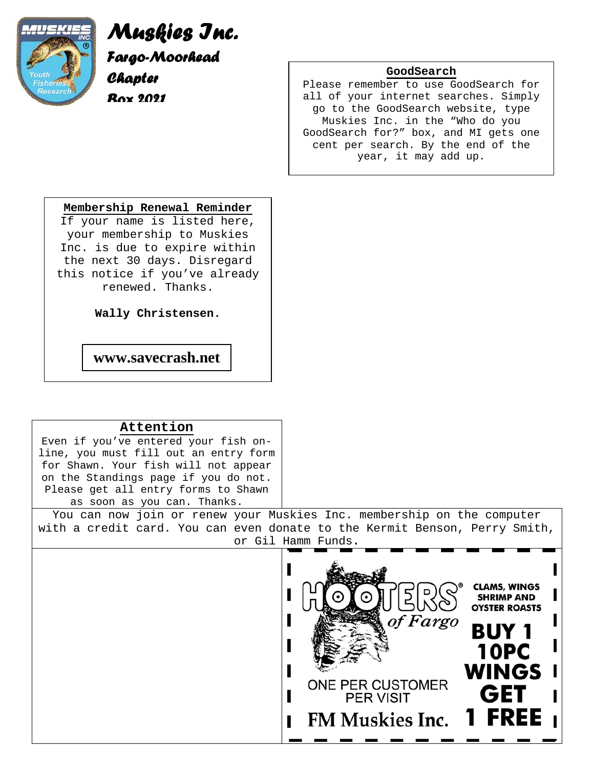

## *Muskies Inc. Fargo-Moorhead Chapter*

*Box 2021* 

#### **GoodSearch**

Please remember to use GoodSearch for all of your internet searches. Simply go to the GoodSearch website, type Muskies Inc. in the "Who do you GoodSearch for?" box, and MI gets one cent per search. By the end of the year, it may add up.

#### **Membership Renewal Reminder**

If your name is listed here, your membership to Muskies Inc. is due to expire within the next 30 days. Disregard this notice if you've already renewed. Thanks.

**Wally Christensen.**

**www.savecrash.net** 

#### **Attention**

Even if you've entered your fish online, you must fill out an entry form for Shawn. Your fish will not appear on the Standings page if you do not. Please get all entry forms to Shawn as soon as you can. Thanks.

You can now join or renew your Muskies Inc. membership on the computer with a credit card. You can even donate to the Kermit Benson, Perry Smith, or Gil Hamm Funds**.** 

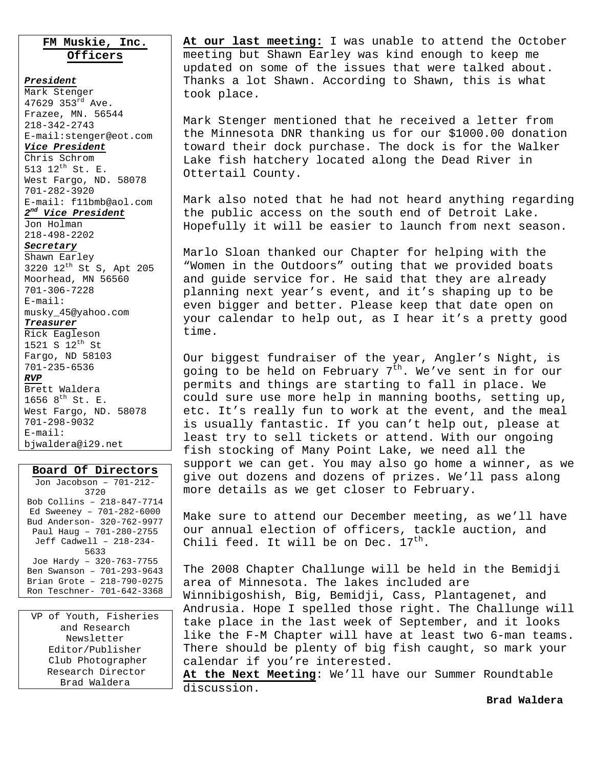#### **FM Muskie, Inc. Officers**

*President* Mark Stenger 47629 353rd Ave. Frazee, MN. 56544 218-342-2743 E-mail:stenger@eot.com

#### *Vice President*

Chris Schrom 513 12th St. E. West Fargo, ND. 58078 701-282-3920 E-mail: f11bmb@aol.com

#### *2nd Vice President*

Jon Holman 218-498-2202

#### *Secretary*

Shawn Earley 3220 12th St S, Apt 205 Moorhead, MN 56560 701-306-7228 E-mail: musky\_45@yahoo.com *Treasurer*

Rick Eagleson 1521 S 12th St Fargo, ND 58103 701-235-6536 *RVP* Brett Waldera 1656 8<sup>th</sup> St. E.

West Fargo, ND. 58078 701-298-9032 E-mail: bjwaldera@i29.net

#### **Board Of Directors**

Jon Jacobson – 701-212- 3720 Bob Collins – 218-847-7714 Ed Sweeney – 701-282-6000 Bud Anderson- 320-762-9977 Paul Haug – 701-280-2755 Jeff Cadwell – 218-234- 5633 Joe Hardy – 320-763-7755 Ben Swanson – 701-293-9643 Brian Grote – 218-790-0275 Ron Teschner- 701-642-3368

VP of Youth, Fisheries and Research Newsletter Editor/Publisher Club Photographer Research Director Brad Waldera

**At our last meeting:** I was unable to attend the October meeting but Shawn Earley was kind enough to keep me updated on some of the issues that were talked about. Thanks a lot Shawn. According to Shawn, this is what took place.

Mark Stenger mentioned that he received a letter from the Minnesota DNR thanking us for our \$1000.00 donation toward their dock purchase. The dock is for the Walker Lake fish hatchery located along the Dead River in Ottertail County.

Mark also noted that he had not heard anything regarding the public access on the south end of Detroit Lake. Hopefully it will be easier to launch from next season.

Marlo Sloan thanked our Chapter for helping with the "Women in the Outdoors" outing that we provided boats and guide service for. He said that they are already planning next year's event, and it's shaping up to be even bigger and better. Please keep that date open on your calendar to help out, as I hear it's a pretty good time.

Our biggest fundraiser of the year, Angler's Night, is going to be held on February  $7<sup>th</sup>$ . We've sent in for our permits and things are starting to fall in place. We could sure use more help in manning booths, setting up, etc. It's really fun to work at the event, and the meal is usually fantastic. If you can't help out, please at least try to sell tickets or attend. With our ongoing fish stocking of Many Point Lake, we need all the support we can get. You may also go home a winner, as we give out dozens and dozens of prizes. We'll pass along more details as we get closer to February.

Make sure to attend our December meeting, as we'll have our annual election of officers, tackle auction, and Chili feed. It will be on Dec.  $17<sup>th</sup>$ .

The 2008 Chapter Challunge will be held in the Bemidji area of Minnesota. The lakes included are Winnibigoshish, Big, Bemidji, Cass, Plantagenet, and Andrusia. Hope I spelled those right. The Challunge will take place in the last week of September, and it looks like the F-M Chapter will have at least two 6-man teams. There should be plenty of big fish caught, so mark your calendar if you're interested.

**At the Next Meeting**: We'll have our Summer Roundtable discussion.

**Brad Waldera**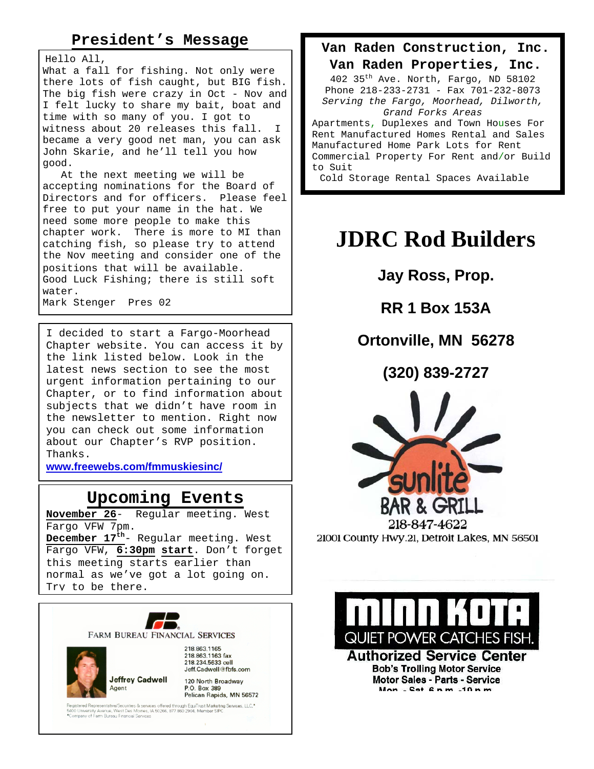### **President's Message**

Hello All,

What a fall for fishing. Not only were there lots of fish caught, but BIG fish. The big fish were crazy in Oct - Nov and I felt lucky to share my bait, boat and time with so many of you. I got to witness about 20 releases this fall. I became a very good net man, you can ask John Skarie, and he'll tell you how good.

 At the next meeting we will be accepting nominations for the Board of Directors and for officers. Please feel free to put your name in the hat. We need some more people to make this chapter work. There is more to MI than catching fish, so please try to attend the Nov meeting and consider one of the positions that will be available. Good Luck Fishing; there is still soft water. Mark Stenger Pres 02

I decided to start a Fargo-Moorhead Chapter website. You can access it by the link listed below. Look in the latest news section to see the most urgent information pertaining to our Chapter, or to find information about subjects that we didn't have room in the newsletter to mention. Right now you can check out some information about our Chapter's RVP position. Thanks.

**www.freewebs.com/fmmuskiesinc/** 

# **Upcoming Events**<br>November 26- Reqular meeting.

Regular meeting. West Fargo VFW 7pm. **December 17th**- Regular meeting. West Fargo VFW, **6:30pm start**. Don't forget this meeting starts earlier than normal as we've got a lot going on. Try to be there.



P.O. Box 389 Pelican Rapids, MN 56572

istered Representstive/Securities & services offered through EquTrust Marketing Services, LLC.\*<br>0 University Avenue, West Des Moines, IA 50266, 877 860 2904, Member SIPC.<br>impany of Farm Bureau Financial Services

**Van Raden Construction, Inc. Van Raden Properties, Inc.** 

402 35th Ave. North, Fargo, ND 58102 Phone 218-233-2731 - Fax 701-232-8073 *Serving the Fargo, Moorhead, Dilworth, Grand Forks Areas*

Apartments, Duplexes and Town Houses For Rent Manufactured Homes Rental and Sales Manufactured Home Park Lots for Rent Commercial Property For Rent and/or Build to Suit

Cold Storage Rental Spaces Available

# **JDRC Rod Builders**

**Jay Ross, Prop.** 

**RR 1 Box 153A** 

**Ortonville, MN 56278** 

**(320) 839-2727**



21001 County Hwy.21, Detroit Lakes, MN 56501



**Authorized Service Center Bob's Trolling Motor Service Motor Sales - Parts - Service** Mon - Cat Anm -10nm